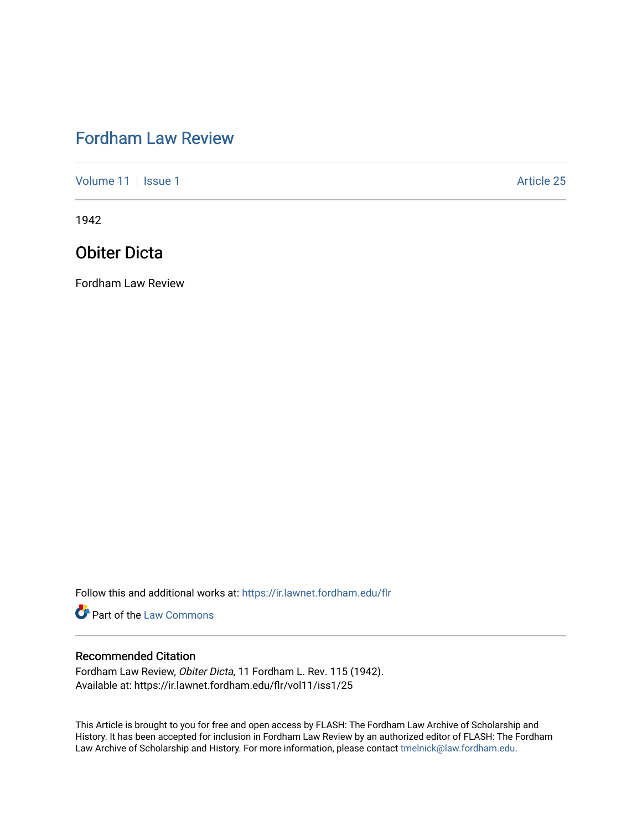# [Fordham Law Review](https://ir.lawnet.fordham.edu/flr)

[Volume 11](https://ir.lawnet.fordham.edu/flr/vol11) | [Issue 1](https://ir.lawnet.fordham.edu/flr/vol11/iss1) Article 25

1942

## Obiter Dicta

Fordham Law Review

Follow this and additional works at: [https://ir.lawnet.fordham.edu/flr](https://ir.lawnet.fordham.edu/flr?utm_source=ir.lawnet.fordham.edu%2Fflr%2Fvol11%2Fiss1%2F25&utm_medium=PDF&utm_campaign=PDFCoverPages)

**Part of the [Law Commons](http://network.bepress.com/hgg/discipline/578?utm_source=ir.lawnet.fordham.edu%2Fflr%2Fvol11%2Fiss1%2F25&utm_medium=PDF&utm_campaign=PDFCoverPages)** 

### Recommended Citation

Fordham Law Review, Obiter Dicta, 11 Fordham L. Rev. 115 (1942). Available at: https://ir.lawnet.fordham.edu/flr/vol11/iss1/25

This Article is brought to you for free and open access by FLASH: The Fordham Law Archive of Scholarship and History. It has been accepted for inclusion in Fordham Law Review by an authorized editor of FLASH: The Fordham Law Archive of Scholarship and History. For more information, please contact [tmelnick@law.fordham.edu](mailto:tmelnick@law.fordham.edu).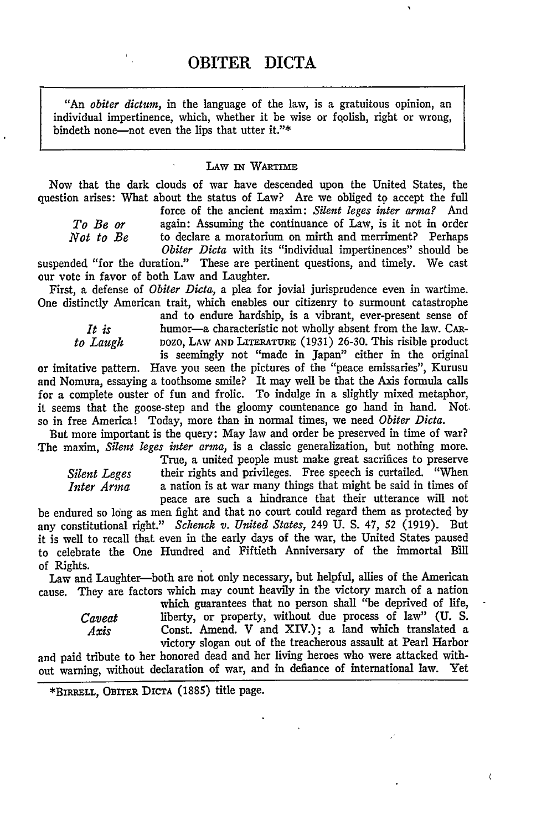"An *obiter dictum,* in the language of the law, is a gratuitous opinion, an individual impertinence, which, whether it be wise or foolish, right or wrong, bindeth none-not even the lips that utter it."\*

#### **LAW IN WARTIME**

Now that the dark clouds of war have descended upon the United States, the question arises: What about the status of Law? Are we obliged to accept the full

force of the ancient maxim: *Silent leges inter arma?* And *To Be or* again: Assuming the continuance of Law, is it not in order *Not to Be* to declare a moratorium on mirth and merriment? Perhaps to declare a moratorium on mirth and merriment? Perhaps *Obiter Dicta* with its "individual impertinences" should be

suspended "for the duration." These are pertinent questions, and timely. We cast our vote in favor of both Law and Laughter.

First, a defense of *Obiter Dicta,* a plea for jovial jurisprudence even in wartime. One distinctly American trait, which enables our citizenry to surmount catastrophe

and to endure hardship, is a vibrant, ever-present sense of *It is* humor-a characteristic not wholly absent from the law. CAR*to Laugh* DOZO, LAW AND LITERATURE (1931) 26-30. This risible product is seemingly not "made in Japan" either in the original

or imitative pattern. Have you seen the pictures of the "peace emissaries", Kurusu and Nomura, essaying a toothsome smile? It may well be that the Axis formula calls for a complete ouster of fun and frolic. To indulge in a slightly mixed metaphor, it seems that the goose-step and the gloomy countenance go hand in hand. Not, so in free America! Today, more than in normal times, we need *Obiter Dicta.*

But more important is the query: May law and order be preserved in time of war? The maxim, *Silent leges inter arma,* is a classic generalization, but nothing more. True, a united people must make great sacrifices to preserve

*Silent Leges* their rights and privileges. Free speech is curtailed. "When *Inter Arma* a nation is at war many things that might be said in times of a nation is at war many things that might be said in times of peace are such a hindrance that their utterance will not

be endured so long as men fight and that no court could regard them as protected by any constitutional right." *Schenck v. United States,* 249 U. S. 47, 52 (1919). But it is well to recall that even in the early days of the war, the United States paused to celebrate the One Hundred and Fiftieth Anniversary of the immortal Bill of Rights.

Law and Laughter-both are not only necessary, but helpful, allies of the American cause. They are factors which may count heavily in the victory march of a nation

which guarantees that no person shall "be deprived of life, *Caveat* liberty, or property, without due process of law" **(U. S.** *Axis* Const. Amend. V and XIV.); a land which translated a victory slogan out of the treacherous assault at Pearl Harbor

and paid tribute to her honored dead and her living heroes who were attacked without warning, without declaration of war, and in defiance of international law. Yet

 $\langle$ 

**<sup>\*</sup>BIRRELL, OBrrER DICTA (1885)** title page.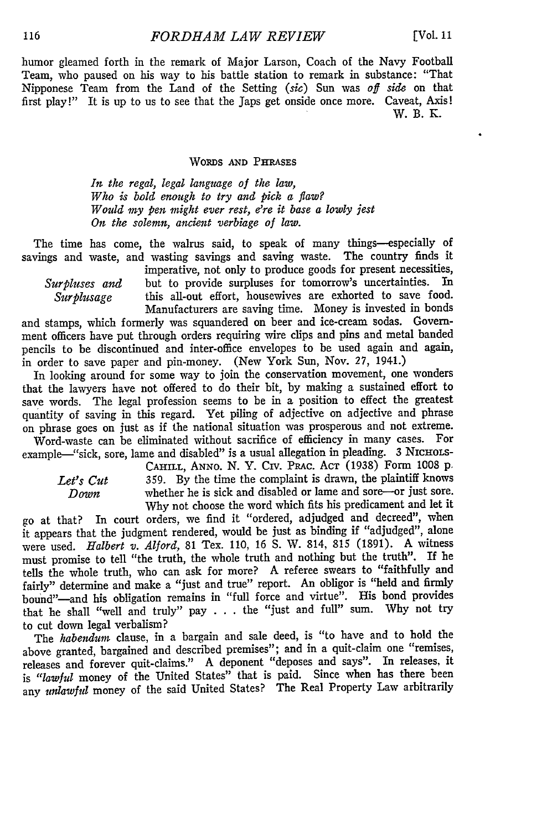humor gleamed forth in the remark of Major Larson, Coach of the Navy Football Team, who paused on his way to his battle station to remark in substance: "That Nipponese Team from the Land of the Setting *(sic)* Sun was *off side* on that first play!" It is up to us to see that the Japs get onside once more. Caveat, Axis! W. B. K.

#### WORDS **AND** PHRASES

*In the regal, legal language of the law, Who is bold enough to try and pick a flaw? Would my pen might ever rest, ere it base a lowly jest On the solemn, ancient verbiage of law.*

The time has come, the walrus said, to speak of many things-especially of savings and waste, and wasting savings and saving waste. The country finds it imperative, not only to produce goods for present necessities,

*Surpluses and* but to provide surpluses for tomorrow's uncertainties. In *Surplusage* this all-out effort, housewives are exhorted to save food. Manufacturers are saving time. Money is invested in bonds

and stamps, which formerly was squandered on beer and ice-cream sodas. Government officers have put through orders requiring wire clips and pins and metal banded pencils to be discontinued and inter-office envelopes to be used again and again, in order to save paper and pin-money. (New York Sun, Nov. 27, 1941.)

In looking around for some way to join the conservation movement, one wonders that the lawyers have not offered to do their bit, by making a sustained effort to save words. The legal profession seems to be in a position to effect the greatest quantity of saving in this regard. Yet piling of adjective on adjective and phrase on phrase goes on just as if the national situation was prosperous and not extreme.

Word-waste can be eliminated without sacrifice of efficiency in many cases. For example-"sick, sore, lame and disabled" is a usual allegation in pleading. 3 NICHOLS-

CAHiLL, ANNO. N. Y. Civ. PRAC. **ACT** (1938) Form 1008 p. **Let's Cut** 359. By the time the complaint is drawn, the plaintiff knows whether he is sick and disabled or lame and sore-or just sore. whether he is sick and disabled or lame and sore-or just sore. Why not choose the word which fits his predicament and let it

go at that? In court orders, we find it "ordered, adjudged and decreed", when it appears that the judgment rendered, would be just as binding if "adjudged", alone were used. *Halbert v. Alford,* **81** Tex. **110, 16 S.** W. 814, **815** (1891). A witness must promise to tell "the truth, the whole truth and nothing but the truth". If he tells the whole truth, who can ask for more? A referee swears to "faithfully and fairly" determine and make a "just and true" report. An obligor is "held and firmly bound"-and his obligation remains in "full force and virtue". His bond provides that he shall "well and truly" pay . . . the "just and full" sum. Why not try to cut down legal verbalism?

The *habendum* clause, in a bargain and sale deed, is "to have and to hold the above granted, bargained and described premises"; and in a quit-claim one "remises, releases and forever quit-claims." A deponent "deposes and says". In releases, it **is** *"lawful* money of the United States" that is paid. Since when has there been any *unlawful* money of the said United States? The Real Property Law arbitrarily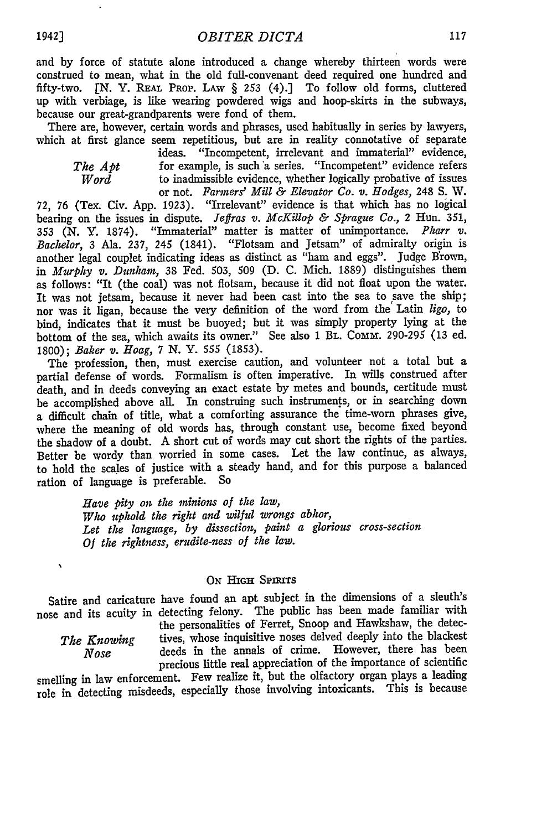and by force of statute alone introduced a change whereby thirteen words were construed to mean, what in the old full-convenant deed required one hundred and fifty-two. **[N.** Y. REAL PROP. LAW § 253 (4).] To follow old forms, cluttered up with verbiage, is like wearing powdered wigs and hoop-skirts in the subways, because our great-grandparents were fond of them.

There are, however, certain words and phrases, used habitually in series by lawyers, which at first glance seem repetitious, but are in reality connotative of separate

 $\ddot{\phantom{0}}$ 

ideas. "Incompetent, irrelevant and immaterial" evidence, *The Apt* **for example, is such a series.** "Incompetent" evidence refers *Word* to inadmissible evidence, whether logically probative of issues to inadmissible evidence, whether logically probative of issues or not. *Farmers' Mill & Elevator Co. v. Hodges,* 248 **S.** W.

72, 76 (Tex. Civ. App. 1923). "Irrelevant" evidence is that which has no logical bearing on the issues in dispute. *Jeffras v. McKillop & Sprague Co.,* 2 Hun. 351, 353 (N. Y. 1874). "Immaterial" matter is matter of unimportance. *Pharr v. Bachelor,* 3 Ala. 237, 245 (1841). "Flotsam and Jetsam" of admiralty origin is another legal couplet indicating ideas as distinct as "ham and eggs". Judge Brown, in *Murphy v. Dunham*, 38 Fed. 503, 509 (D. C. Mich. 1889) distinguishes them as follows: "It (the coal) was not flotsam, because it did not float upon the water. It was not jetsam, because it never had been cast into the sea to save the ship; nor was it ligan, because the very definition of the word from the Latin *ligo,* to bind, indicates that it must be buoyed; but it was simply property lying at the bottom of the sea, which awaits its owner." See also 1 BL. Comm. 290-295 (13 ed. 1800); *Baker v. Hoag,* 7 N. *Y.* 555 (1853).

The profession, then, must exercise caution, and volunteer not a total but a partial defense of words. Formalism is often imperative. In wills construed after death, and in deeds conveying an exact estate by metes and bounds, certitude must be accomplished above all. In construing such instruments, or in searching down a difficult chain of title, what a comforting assurance the time-worn phrases give, where the meaning of old words has, through constant use, become fixed beyond the shadow of a doubt. **A** short cut of words may cut short the rights of the parties. Better be wordy than worried in some cases. Let the law continue, as always, to hold the scales of justice with a steady hand, and for this purpose a balanced ration of language is preferable. So

> *Have pity on the minions of the law, Who uphold tle right and wilful wrongs abhor, Let the language, by dissection, paint a glorious cross-section Of the rightness, erudite-ness of the law.*

#### ON **HIGH SPIRITS**

Satire and caricature have found an apt subject in the dimensions of a sleuth's nose and its acuity in detecting felony. The public has been made familiar with

 $\lambda$ 

the personalities of Ferret, Snoop and Hawkshaw, the detec-The Knowing tives, whose inquisitive noses delved deeply into the blackest *Nose* deeds in the annals of crime. However, there has been precious little real appreciation of the importance of scientific

smelling in law enforcement. Few realize it, but the olfactory organ plays a leading role in detecting misdeeds, especially those involving intoxicants. This is because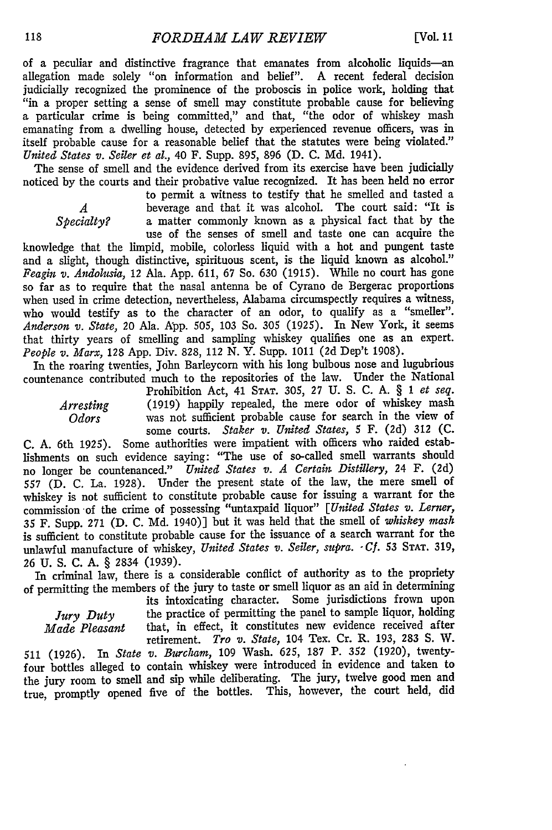of a peculiar and distinctive fragrance that emanates from alcoholic liquids-an allegation made solely "on information and belief". A recent federal decision judicially recognized the prominence of the proboscis in police work, holding that "in a proper setting a sense of smell may constitute probable cause for believing a particular crime is being committed," and that, "the odor of whiskey mash emanating from a dwelling house, detected by experienced revenue officers, was in itself probable cause for a reasonable belief that the statutes were being violated." *United States v. Seiler et al.,* 40 F. Supp. 895, 896 **(D. C. Md.** 1941).

The sense of smell and the evidence derived from its exercise have been judicially noticed **by** the courts and their probative value recognized. It has been held no error

to permit a witness to testify that he smelled and tasted a *A* beverage and that it was alcohol. The court said: "It is *Specialty?* a matter commonly known as a physical fact that by the *Specialty?* a matter commonly known as a physical fact that **by** the use of the senses of smell and taste one can acquire the

knowledge that the limpid, mobile, colorless liquid with a hot and pungent taste and a slight, though distinctive, spirituous scent, is the liquid known as alcohol." *Feagin v. Andolusia,* 12 Ala. App. 611, 67 So. 630 (1915). While no court has gone so far as to require that the nasal antenna be of Cyrano de Bergerac proportions when used in crime detection, nevertheless, Alabama circumspectly requires a witness, who would testify as to the character of an odor, to qualify as a "smeller". *Anderson v. State,* 20 Ala. App. 505, 103 So. 305 (1925). In New York, it seems that thirty years of smelling and sampling whiskey qualifies one as an expert. *People v. Marx,* 128 App. Div. 828, 112 N. Y. Supp. 1011 (2d Dep't 1908).

In the roaring twenties, John Barleycorn with his long bulbous nose and lugubrious countenance contributed much to the repositories of the law. Under the National

Prohibition Act, **41 STAT. 305,** 27 **U. S. C.** A. § 1 *et seq. Arresting* (1919) happily repealed, the mere odor of whiskey mash Odors was not sufficient probable cause for search in the view of was not sufficient probable cause for search in the view of some courts. *Staker v. United States, 5* F. (2d) 312 **(C.**

**C. A.** 6th 1925). Some authorities were impatient with officers who raided establishments on such evidence saying: "The use of so-called smell warrants should no longer be countenanced." *United States v. A Certain Distillery,* **24 F. (2d) 557 (D.** C. La. 1928). Under the present state of the law, the mere smell of whiskey is not sufficient to constitute probable cause for issuing a warrant for the commission of the crime of possessing "untaxpaid liquor" *[United States v. Lerner,* 35 F. Supp. **271 (D. C.** Md. 1940)] but it was held that the smell of *whiskey mash* is sufficient to constitute probable cause for the issuance of a search warrant for the unlawful manufacture of whiskey, *United States v. Seiler, supra.. Cf.* 53 **STAT. 319,** 26 **U. S. C. A.** § 2834 (1939).

In criminal law, there is a considerable conflict of authority as to the propriety of permitting the members of the jury to taste or smell liquor as an aid in determining

its intoxicating character. Some jurisdictions frown upon *Jury Duty* the practice of permitting the panel to sample liquor, holding *Made Pleasant* that, in effect, it constitutes new evidence received after that, in effect, it constitutes new evidence received after retirement. *Tro v. State,* 104 Tex. Cr. R. 193, 283 S. **W.**

511 (1926). In *State v. Burcham,* 109 Wash. 625, 187 P. 352 (1920), twentyfour bottles alleged to contain whiskey were introduced in evidence and taken to the jury room to smell and sip while deliberating. The jury, twelve good men and true, promptly opened five of the bottles. This, however, the court held, did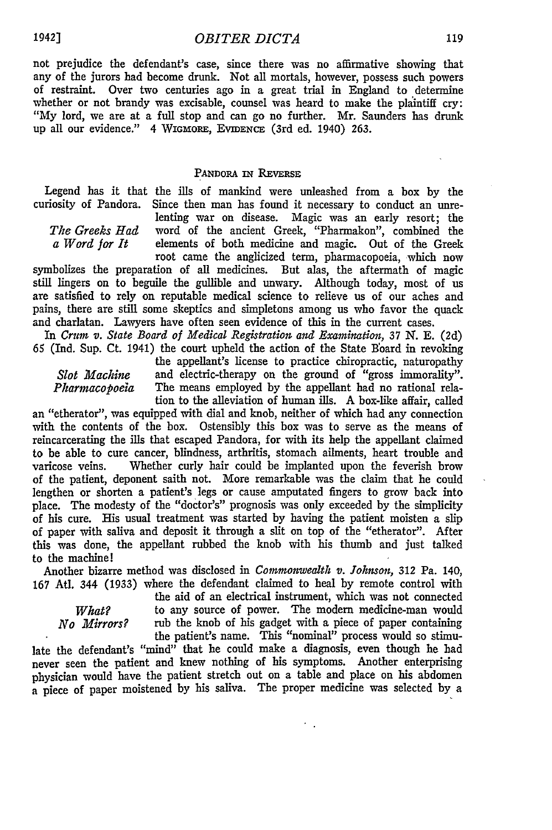not prejudice the defendant's case, since there was no affirmative showing that any of the jurors had become drunk. Not all mortals, however, possess such powers of restraint. Over two centuries ago in a great trial in England to determine whether or not brandy was excisable, counsel was heard to make the plaintiff cry: "My lord, we are at a full stop and can go no further. Mr. Saunders has drunk up all our evidence." 4 WIGMORE, EVIDENCE (3rd ed. 1940) 263.

#### PANDORA IN **REVERSE**

Legend has it that the ills of mankind were unleashed from a box by the curiosity of Pandora. Since then man has found it necessary to conduct an unre-

lenting war on disease. Magic was an early resort; the *The Greeks Had* word of the ancient Greek, "Pharmakon", combined the *a Word for It* elements of both medicine and magic. Out of the Greek root came the anglicized term, pharmacopoeia, which now

symbolizes the preparation of all medicines. But alas, the aftermath of magic still lingers on to beguile the gullible and unwary. Although today, most of us are satisfied to rely on reputable medical science to relieve us of our aches and pains, there are still some skeptics and simpletons among us who favor the quack and charlatan. Lawyers have often seen evidence of this in the current cases.

In *Crum v. State Board of Medical Registration and Examination,* 37 **N. E.** (2d) 65 (Ind. Sup. Ct. 1941) the court upheld the action of the State Board in revoking

the appellant's license to practice chiropractic, naturopathy *Slot Machine* and electric-therapy on the ground of "gross immorality". *Pharmacopoeia* The means employed by the appellant had no rational relation to the alleviation of human ills. A box-like affair, called

an "etherator", was equipped with dial and knob, neither of which had any connection with the contents of the box. Ostensibly this box was to serve as the means of reincarcerating the ills that escaped Pandora, for with its help the appellant claimed to be able to cure cancer, blindness, arthritis, stomach ailments, heart trouble and varicose veins. Whether curly hair could be implanted upon the feverish brow of the patient, deponent saith not. More remarkable was the claim that he could lengthen or shorten a patient's legs or cause amputated fingers to grow back into place. The modesty of the "doctor's" prognosis was only exceeded by the simplicity of his cure. His usual treatment was started by having the patient moisten a slip of paper with saliva and deposit it through a slit on top of the "etherator". After this was done, the appellant rubbed the knob with his thumb and just talked to the machine!

Another bizarre method was disclosed in *Commonwealth v. Johnson,* 312 Pa. 140, 167 Atl. 344 (1933) where the defendant claimed to heal by remote control with

the aid of an electrical instrument, which was not connected *What?* bo any source of power. The modern medicine-man would *No Mirrors?* rub the knob of his gadget with a piece of paper containing the patient's name. This "nominal" process would so stimu-

 $\overline{\phantom{a}}$ 

late the defendant's "mind" that he could make a diagnosis, even though he had never seen the patient and knew nothing of his symptoms. Another enterprising physician would have the patient stretch out on a table and place on his abdomen a piece of paper moistened by his saliva. The proper medicine was selected by a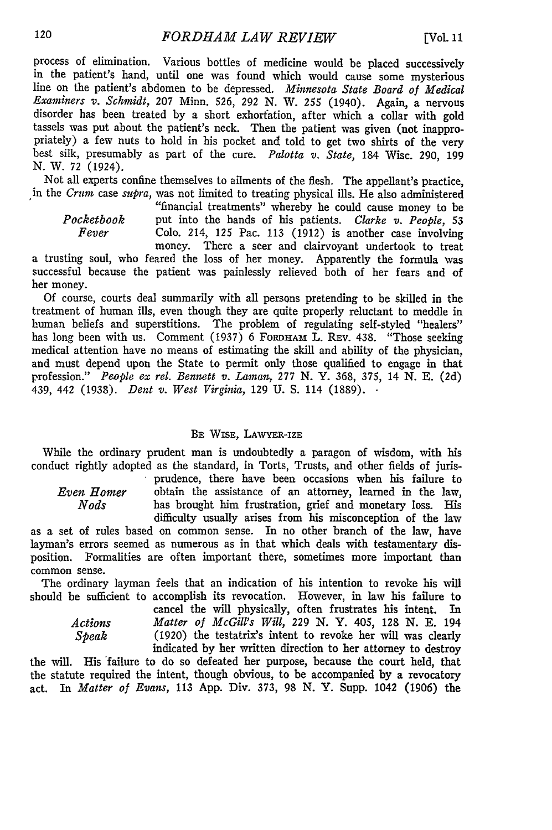process of elimination. Various bottles of medicine would be placed successively in the patient's hand, until one was found which would cause some mysterious line on the patient's abdomen to be depressed. *Minnesota State Board of Medical Examiners v. Schmidt,* 207 Minn. 526, 292 N. W. 255 (1940). Again, a nervous disorder has been treated by a short exhorfation, after which a collar with gold tassels was put about the patient's neck. Then the patient was given (not inappropriately) a few nuts to hold in his pocket and told to get two shirts of the very best silk, presumably as part of the cure. *Palotta v. State,* 184 Wisc. 290, 199 **N.** W. 72 (1924).

Not all experts confine themselves to ailments of the flesh. The appellant's practice, in the *Crum* case *supra,* was not limited to treating physical ills. He also administered

"financial treatments" whereby he could cause money to be *Pocketbook* put into the hands of his patients. *Clarke v. People, 53 Fever* Colo. 214, **125** Pac. **113** (1912) is another case involving money. There a seer and clairvoyant undertook to treat

a trusting soul, who feared the loss of her money. Apparently the formula was successful because the patient was painlessly relieved both of her fears and of her money.

Of course, courts deal summarily with all persons pretending to be skilled in the treatment of human ills, even though they are quite properly reluctant to meddle in human beliefs and superstitions. The problem of regulating self-styled "healers" has long been with us. Comment  $(1937)$  6 FORDHAM L. REV. 438. "Those seeking medical attention have no means of estimating the skill and ability of the physician, and must depend upon the State to permit only those qualified to engage in that profession." *People ex rel. Bennett v. Laman,* 277 **N.** Y. 368, 375, 14 **N.** E. (2d) 439, 442 (1938). *Dent v. West Virginia,* 129 U. S. 114 (1889). •

#### BE WIsE, LAWYER-IZE

While the ordinary prudent man is undoubtedly a paragon of wisdom, with his conduct rightly adopted as the standard, in Torts, Trusts, and other fields of juris- prudence, there have been occasions when his failure to

*Even Homer* obtain the assistance of an attorney, learned in the law, *Nods* has brought him frustration, grief and monetary loss. His difficulty usually arises from his misconception of the law

as a set of rules based on common sense. In no other branch of the law, have layman's errors seemed as numerous as in that which deals with testamentary disposition. Formalities are often important there, sometimes more important than common sense.

The ordinary layman feels that an indication of his intention to revoke his will should be sufficient to accomplish its revocation. However, in law his failure to

cancel the will physically, often frustrates his intent. In *Actions Matter of McGill's Will,* 229 N. Y. 405, 128 N. **E.** 194 *Speak* (1920) the testatrix's intent to revoke her will was clearly indicated by her written direction to her attorney to destroy

the will. His 'failure to do so defeated her purpose, because the court held, that the statute required the intent, though obvious, to be accompanied by a revocatory act. In *Matter of Evans,* 113 App. Div. 373, 98 N. Y. Supp. 1042 (1906) the